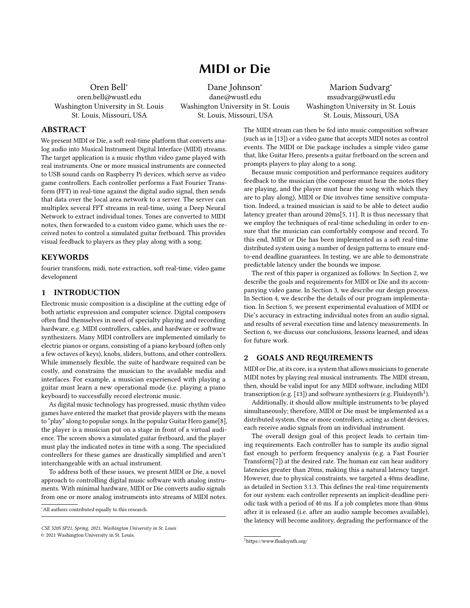# MIDI or Die

Oren Bell<sup>∗</sup> oren.bell@wustl.edu Washington University in St. Louis St. Louis, Missouri, USA

Dane Johnson<sup>∗</sup> dane@wustl.edu Washington University in St. Louis St. Louis, Missouri, USA

Marion Sudvarg<sup>∗</sup> msudvarg@wustl.edu Washington University in St. Louis St. Louis, Missouri, USA

## ABSTRACT

We present MIDI or Die, a soft real-time platform that converts analog audio into Musical Instrument Digital Interface (MIDI) streams. The target application is a music rhythm video game played with real instruments. One or more musical instruments are connected to USB sound cards on Raspberry Pi devices, which serve as video game controllers. Each controller performs a Fast Fourier Transform (FFT) in real-time against the digital audio signal, then sends that data over the local area network to a server. The server can multiplex several FFT streams in real-time, using a Deep Neural Network to extract individual tones. Tones are converted to MIDI notes, then forwarded to a custom video game, which uses the received notes to control a simulated guitar fretboard. This provides visual feedback to players as they play along with a song.

# **KEYWORDS**

fourier transform, midi, note extraction, soft real-time, video game development

## 1 INTRODUCTION

Electronic music composition is a discipline at the cutting edge of both artistic expression and computer science. Digital composers often find themselves in need of specialty playing and recording hardware, e.g. MIDI controllers, cables, and hardware or software synthesizers. Many MIDI controllers are implemented similarly to electric pianos or organs, consisting of a piano keyboard (often only a few octaves of keys), knobs, sliders, buttons, and other controllers. While immensely flexible, the suite of hardware required can be costly, and constrains the musician to the available media and interfaces. For example, a musician experienced with playing a guitar must learn a new operational mode (i.e. playing a piano keyboard) to successfully record electronic music.

As digital music technology has progressed, music rhythm video games have entered the market that provide players with the means to "play" along to popular songs. In the popular Guitar Hero game[\[8\]](#page-6-0), the player is a musician put on a stage in front of a virtual audience. The screen shows a simulated guitar fretboard, and the player must play the indicated notes in time with a song. The specialized controllers for these games are drastically simplified and aren't interchangeable with an actual instrument.

To address both of these issues, we present MIDI or Die, a novel approach to controlling digital music software with analog instruments. With minimal hardware, MIDI or Die converts audio signals from one or more analog instruments into streams of MIDI notes. The MIDI stream can then be fed into music composition software (such as in [\[13\]](#page-6-1)) or a video game that accepts MIDI notes as control events. The MIDI or Die package includes a simple video game that, like Guitar Hero, presents a guitar fretboard on the screen and prompts players to play along to a song.

Because music composition and performance requires auditory feedback to the musician (the composer must hear the notes they are playing, and the player must hear the song with which they are to play along), MIDI or Die involves time sensitive computation. Indeed, a trained musician is said to be able to detect audio latency greater than around 20ms[\[5,](#page-6-2) [11\]](#page-6-3). It is thus necessary that we employ the techniques of real-time scheduling in order to ensure that the musician can comfortably compose and record. To this end, MIDI or Die has been implemented as a soft real-time distributed system using a number of design patterns to ensure endto-end deadline guarantees. In testing, we are able to demonstrate predictable latency under the bounds we impose.

The rest of this paper is organized as follows: In Section [2,](#page-0-0) we describe the goals and requirements for MIDI or Die and its accompanying video game. In Section [3,](#page-1-0) we describe our design process. In Section [4,](#page-2-0) we describe the details of our program implementation. In Section [5,](#page-3-0) we present experimental evaluation of MIDI or Die's accuracy in extracting individual notes from an audio signal, and results of several execution time and latency measurements. In Section [6,](#page-5-0) we discuss our conclusions, lessons learned, and ideas for future work.

#### <span id="page-0-0"></span>2 GOALS AND REQUIREMENTS

MIDI or Die, at its core, is a system that allows musicians to generate MIDI notes by playing real musical instruments. The MIDI stream, then, should be valid input for any MIDI software, including MIDI transcription (e.g. [\[13\]](#page-6-1)) and software synthesizers (e.g. Fluidsynth<sup>[1](#page-0-1)</sup>).

Additionally, it should allow multiple instruments to be played simultaneously; therefore, MIDI or Die must be implemented as a distributed system. One or more controllers, acting as client devices, each receive audio signals from an individual instrument.

The overall design goal of this project leads to certain timing requirements. Each controller has to sample its audio signal fast enough to perform frequency analysis (e.g. a Fast Fourier Transform[\[7\]](#page-6-4)) at the desired rate. The human ear can hear auditory latencies greater than 20ms, making this a natural latency target. However, due to physical constraints, we targeted a 40ms deadline, as detailed in Section [3.1.3.](#page-1-1) This defines the real-time requirements for our system: each controller represents an implicit-deadline periodic task with a period of 40 ms. If a job completes more than 40ms after it is released (i.e. after an audio sample becomes available), the latency will become auditory, degrading the performance of the

<sup>∗</sup>All authors contributed equally to this research.

CSE 520S SP21, Spring, 2021, Washington University in St. Louis © 2021 Washington University in St. Louis.

<span id="page-0-1"></span><sup>1</sup><https://www.fluidsynth.org/>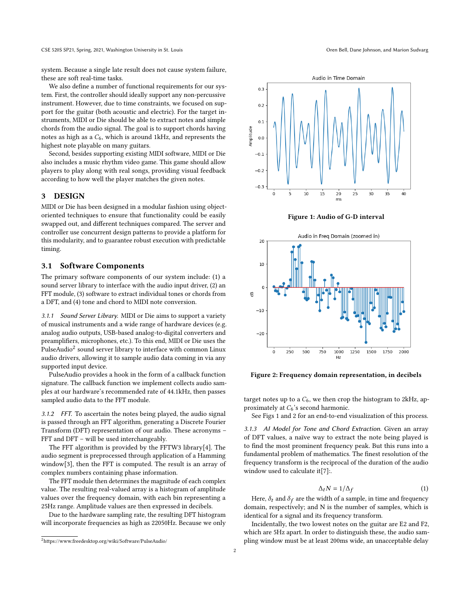system. Because a single late result does not cause system failure, these are soft real-time tasks.

We also define a number of functional requirements for our system. First, the controller should ideally support any non-percussive instrument. However, due to time constraints, we focused on support for the guitar (both acoustic and electric). For the target instruments, MIDI or Die should be able to extract notes and simple chords from the audio signal. The goal is to support chords having notes as high as a  $C_6$ , which is around 1kHz, and represents the highest note playable on many guitars.

Second, besides supporting existing MIDI software, MIDI or Die also includes a music rhythm video game. This game should allow players to play along with real songs, providing visual feedback according to how well the player matches the given notes.

#### <span id="page-1-0"></span>3 DESIGN

MIDI or Die has been designed in a modular fashion using objectoriented techniques to ensure that functionality could be easily swapped out, and different techniques compared. The server and controller use concurrent design patterns to provide a platform for this modularity, and to guarantee robust execution with predictable timing.

# 3.1 Software Components

The primary software components of our system include: (1) a sound server library to interface with the audio input driver, (2) an FFT module, (3) software to extract individual tones or chords from a DFT, and (4) tone and chord to MIDI note conversion.

3.1.1 Sound Server Library. MIDI or Die aims to support a variety of musical instruments and a wide range of hardware devices (e.g. analog audio outputs, USB-based analog-to-digital converters and preamplifiers, microphones, etc.). To this end, MIDI or Die uses the  $_{\rm{PulseAudio}}^{2}$  $_{\rm{PulseAudio}}^{2}$  $_{\rm{PulseAudio}}^{2}$  sound server library to interface with common Linux audio drivers, allowing it to sample audio data coming in via any supported input device.

PulseAudio provides a hook in the form of a callback function signature. The callback function we implement collects audio samples at our hardware's recommended rate of 44.1kHz, then passes sampled audio data to the FFT module.

3.1.2 FFT. To ascertain the notes being played, the audio signal is passed through an FFT algorithm, generating a Discrete Fourier Transform (DFT) representation of our audio. These acronyms – FFT and DFT – will be used interchangeably.

The FFT algorithm is provided by the FFTW3 library[\[4\]](#page-6-5). The audio segment is preprocessed through application of a Hamming window[\[3\]](#page-6-6), then the FFT is computed. The result is an array of complex numbers containing phase information.

The FFT module then determines the magnitude of each complex value. The resulting real-valued array is a histogram of amplitude values over the frequency domain, with each bin representing a 25Hz range. Amplitude values are then expressed in decibels.

Due to the hardware sampling rate, the resulting DFT histogram will incorporate frequencies as high as 22050Hz. Because we only

<span id="page-1-3"></span>

Figure 1: Audio of G-D interval



Figure 2: Frequency domain representation, in decibels

target notes up to a  $C_6$ , we then crop the histogram to 2kHz, approximately at  $C_6$ 's second harmonic.

See Figs [1](#page-1-3) and [2](#page-1-3) for an end-to-end visualization of this process.

<span id="page-1-1"></span>3.1.3 AI Model for Tone and Chord Extraction. Given an array of DFT values, a naïve way to extract the note being played is to find the most prominent frequency peak. But this runs into a fundamental problem of mathematics. The finest resolution of the frequency transform is the reciprocal of the duration of the audio window used to calculate it[\[7\]](#page-6-4):.

$$
\Delta_t N = 1/\Delta_f \tag{1}
$$

Here,  $\delta_t$  and  $\delta_f$  are the width of a sample, in time and frequency domain, respectively; and N is the number of samples, which is identical for a signal and its frequency transform.

Incidentally, the two lowest notes on the guitar are E2 and F2, which are 5Hz apart. In order to distinguish these, the audio sampling window must be at least 200ms wide, an unacceptable delay

<span id="page-1-2"></span><sup>2</sup><https://www.freedesktop.org/wiki/Software/PulseAudio/>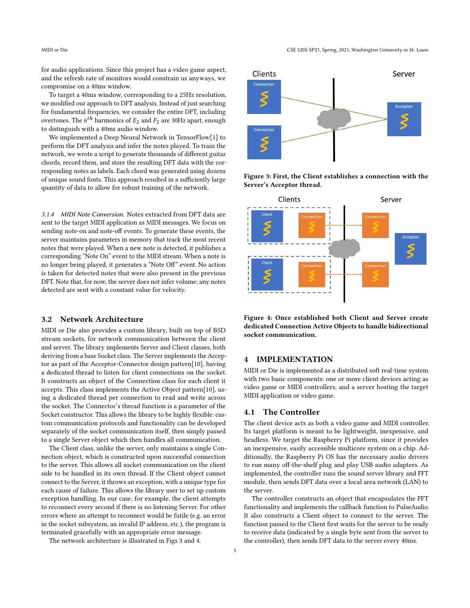MIDI or Die CSE 520S SP21, Spring, 2021, Washington University in St. Louis

for audio applications. Since this project has a video game aspect, and the refresh rate of monitors would constrain us anyways, we compromise on a 40ms window.

To target a 40ms window, corresponding to a 25Hz resolution, we modified our approach to DFT analysis. Instead of just searching for fundamental frequencies, we consider the entire DFT, including overtones. The  $6^{th}$  harmonics of  $E_2$  and  $F_2$  are 30Hz apart, enough to distinguish with a 40ms audio window.

We implemented a Deep Neural Network in TensorFlow[\[1\]](#page-6-7) to perform the DFT analysis and infer the notes played. To train the network, we wrote a script to generate thousands of different guitar chords, record them, and store the resulting DFT data with the corresponding notes as labels. Each chord was generated using dozens of unique sound fonts. This approach resulted in a sufficiently large quantity of data to allow for robust training of the network.

3.1.4 MIDI Note Conversion. Notes extracted from DFT data are sent to the target MIDI application as MIDI messages. We focus on sending note-on and note-off events. To generate these events, the server maintains parameters in memory that track the most recent notes that were played. When a new note is detected, it publishes a corresponding "Note On" event to the MIDI stream. When a note is no longer being played, it generates a "Note Off" event. No action is taken for detected notes that were also present in the previous DFT. Note that, for now, the server does not infer volume; any notes detected are sent with a constant value for velocity.

#### 3.2 Network Architecture

MIDI or Die also provides a custom library, built on top of BSD stream sockets, for network communication between the client and server. The library implements Server and Client classes, both deriving from a base Socket class. The Server implements the Acceptor as part of the Acceptor-Connector design pattern[\[10\]](#page-6-8), having a dedicated thread to listen for client connections on the socket. It constructs an object of the Connection class for each client it accepts. This class implements the Active Object pattern[\[10\]](#page-6-8), using a dedicated thread per connection to read and write across the socket. The Connector's thread function is a parameter of the Socket constructor. This allows the library to be highly flexible: custom communication protocols and functionality can be developed separately of the socket communication itself, then simply passed to a single Server object which then handles all communication.

The Client class, unlike the server, only maintains a single Connection object, which is constructed upon successful connection to the server. This allows all socket communication on the client side to be handled in its own thread. If the Client object cannot connect to the Server, it throws an exception, with a unique type for each cause of failure. This allows the library user to set up custom exception handling. In our case, for example, the client attempts to reconnect every second if there is no listening Server. For other errors where an attempt to reconnect would be futile (e.g. an error in the socket subsystem, an invalid IP address, etc.), the program is terminated gracefully with an appropriate error message.

The network architecture is illustrated in Figs [3](#page-2-1) and [4.](#page-2-1)

<span id="page-2-1"></span>

Figure 3: First, the Client establishes a connection with the Server's Acceptor thread.





# <span id="page-2-0"></span>4 IMPLEMENTATION

MIDI or Die is implemented as a distributed soft real-time system with two basic components: one or more client devices acting as video game or MIDI controllers, and a server hosting the target MIDI application or video game.

## 4.1 The Controller

The client device acts as both a video game and MIDI controller. Its target platform is meant to be lightweight, inexpensive, and headless. We target the Raspberry Pi platform, since it provides an inexpensive, easily accessible multicore system on a chip. Additionally, the Raspberry Pi OS has the necessary audio drivers to run many off-the-shelf plug and play USB audio adapters. As implemented, the controller runs the sound server library and FFT module, then sends DFT data over a local area network (LAN) to the server.

The controller constructs an object that encapsulates the FFT functionality and implements the callback function to PulseAudio. It also constructs a Client object to connect to the server. The function passed to the Client first waits for the server to be ready to receive data (indicated by a single byte sent from the server to the controller), then sends DFT data to the server every 40ms.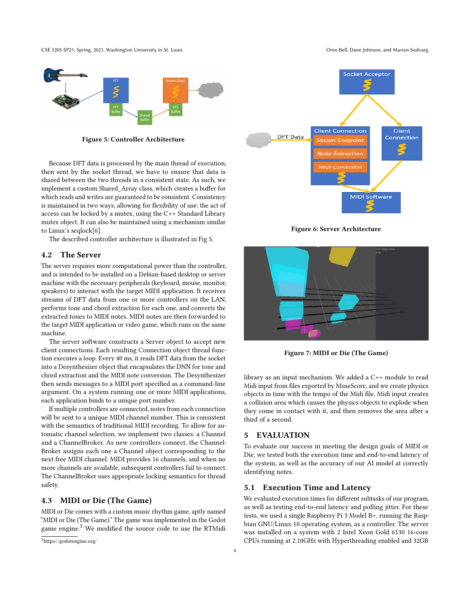CSE 520S SP21, Spring, 2021, Washington University in St. Louis CSE 520S SP21, Spring, 2021, Washington University in St. Louis CSE 520S SP21, Spring, 2021, Washington University in St. Louis

<span id="page-3-1"></span>

Figure 5: Controller Architecture

Because DFT data is processed by the main thread of execution, then sent by the socket thread, we have to ensure that data is shared between the two threads in a consistent state. As such, we implement a custom Shared\_Array class, which creates a buffer for which reads and writes are guaranteed to be consistent. Consistency is maintained in two ways, allowing for flexibility of use: the act of access can be locked by a mutex, using the C++ Standard Library mutex object. It can also be maintained using a mechanism similar to Linux's seqlock[\[6\]](#page-6-9).

The described controller architecture is illustrated in Fig [5.](#page-3-1)

#### 4.2 The Server

The server requires more computational power than the controller, and is intended to be installed on a Debian-based desktop or server machine with the necessary peripherals (keyboard, mouse, monitor, speakers) to interact with the target MIDI application. It receives streams of DFT data from one or more controllers on the LAN, performs tone and chord extraction for each one, and converts the extracted tones to MIDI notes. MIDI notes are then forwarded to the target MIDI application or video game, which runs on the same machine.

The server software constructs a Server object to accept new client connections. Each resulting Connection object thread function executes a loop. Every 40 ms, it reads DFT data from the socket into a Desynthesizer object that encapsulates the DNN for tone and chord extraction and the MIDI note conversion. The Desynthesizer then sends messages to a MIDI port specified as a command-line argument. On a system running one or more MIDI applications, each application binds to a unique port number.

If multiple controllers are connected, notes from each connection will be sent to a unique MIDI channel number. This is consistent with the semantics of traditional MIDI recording. To allow for automatic channel selection, we implement two classes: a Channel and a ChannelBroker. As new controllers connect, the Channel-Broker assigns each one a Channel object corresponding to the next free MIDI channel. MIDI provides 16 channels, and when no more channels are available, subsequent controllers fail to connect. The ChannelBroker uses appropriate locking semantics for thread safety.

## 4.3 MIDI or Die (The Game)

MIDI or Die comes with a custom music rhythm game, aptly named "MIDI or Die (The Game)." The game was implemented in the Godot game engine.[3](#page-3-2) We modified the source code to use the RTMidi







Figure 7: MIDI or Die (The Game)

library as an input mechanism. We added a C++ module to read Midi input from files exported by MuseScore, and we create physics objects in time with the tempo of the Midi file. Midi input creates a collision area which causes the physics objects to explode when they come in contact with it, and then removes the area after a third of a second.

#### <span id="page-3-0"></span>5 EVALUATION

To evaluate our success in meeting the design goals of MIDI or Die, we tested both the execution time and end-to-end latency of the system, as well as the accuracy of our AI model at correctly identifying notes.

#### 5.1 Execution Time and Latency

We evaluated execution times for different subtasks of our program, as well as testing end-to-end latency and polling jitter. For these tests, we used a single Raspberry Pi 3 Model B+, running the Raspbian GNU/Linux 10 operating system, as a controller. The server was installed on a system with 2 Intel Xeon Gold 6130 16-core CPUs running at 2.10GHz with Hyperthreading enabled and 32GB

<span id="page-3-2"></span><sup>3</sup><https://godotengine.org/>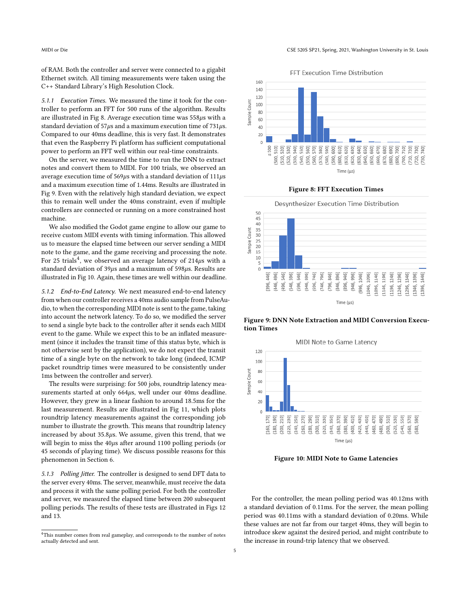of RAM. Both the controller and server were connected to a gigabit Ethernet switch. All timing measurements were taken using the C++ Standard Library's High Resolution Clock.

5.1.1 Execution Times. We measured the time it took for the controller to perform an FFT for 500 runs of the algorithm. Results are illustrated in Fig [8.](#page-4-0) Average execution time was  $558\mu s$  with a standard deviation of  $57\mu s$  and a maximum execution time of  $731\mu s$ . Compared to our 40ms deadline, this is very fast. It demonstrates that even the Raspberry Pi platform has sufficient computational power to perform an FFT well within our real-time constraints.

On the server, we measured the time to run the DNN to extract notes and convert them to MIDI. For 100 trials, we observed an average execution time of  $569\mu s$  with a standard deviation of  $111\mu s$ and a maximum execution time of 1.44ms. Results are illustrated in Fig [9.](#page-4-0) Even with the relatively high standard deviation, we expect this to remain well under the 40ms constraint, even if multiple controllers are connected or running on a more constrained host machine.

We also modified the Godot game engine to allow our game to receive custom MIDI events with timing information. This allowed us to measure the elapsed time between our server sending a MIDI note to the game, and the game receiving and processing the note. For 25 trials<sup>[4](#page-4-1)</sup>, we observed an average latency of 214 $\mu$ s with a standard deviation of  $39\mu s$  and a maximum of  $598\mu s$ . Results are illustrated in Fig [10.](#page-4-0) Again, these times are well within our deadline.

5.1.2 End-to-End Latency. We next measured end-to-end latency from when our controller receives a 40ms audio sample from PulseAudio, to when the corresponding MIDI note is sent to the game, taking into account the network latency. To do so, we modified the server to send a single byte back to the controller after it sends each MIDI event to the game. While we expect this to be an inflated measurement (since it includes the transit time of this status byte, which is not otherwise sent by the application), we do not expect the transit time of a single byte on the network to take long (indeed, ICMP packet roundtrip times were measured to be consistently under 1ms between the controller and server).

The results were surprising: for 500 jobs, roundtrip latency measurements started at only  $664\mu s$ , well under our 40ms deadline. However, they grew in a linear fashion to around 18.5ms for the last measurement. Results are illustrated in Fig [11,](#page-5-1) which plots roundtrip latency measurements against the corresponding job number to illustrate the growth. This means that roundtrip latency increased by about  $35.8\mu s$ . We assume, given this trend, that we will begin to miss the  $40\mu s$  after around 1100 polling periods (or 45 seconds of playing time). We discuss possible reasons for this phenomenon in Section [6.](#page-5-0)

5.1.3 Polling Jitter. The controller is designed to send DFT data to the server every 40ms. The server, meanwhile, must receive the data and process it with the same polling period. For both the controller and server, we measured the elapsed time between 200 subsequent polling periods. The results of these tests are illustrated in Figs [12](#page-5-2) and [13.](#page-5-2)



<span id="page-4-0"></span>





Figure 9: DNN Note Extraction and MIDI Conversion Execution Times



Figure 10: MIDI Note to Game Latencies

For the controller, the mean polling period was 40.12ms with a standard deviation of 0.11ms. For the server, the mean polling period was 40.11ms with a standard deviation of 0.20ms. While these values are not far from our target 40ms, they will begin to introduce skew against the desired period, and might contribute to the increase in round-trip latency that we observed.

<span id="page-4-1"></span><sup>4</sup>This number comes from real gameplay, and corresponds to the number of notes actually detected and sent.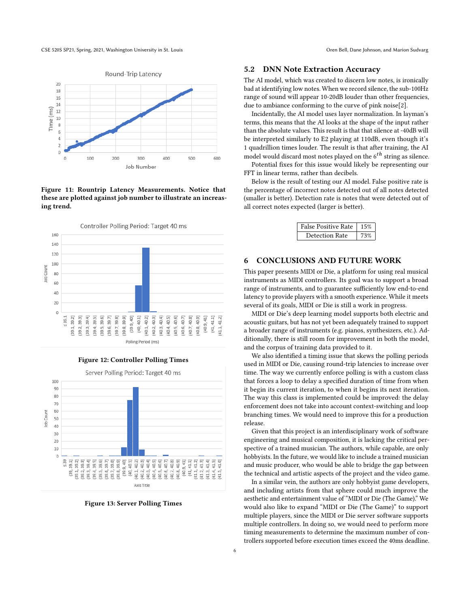CSE 520S SP21, Spring, 2021, Washington University in St. Louis CSE 520S SP21, Spring, 2021, Washington University in St. Louis CSE 520S SP21, Spring, 2021, Washington University in St. Louis

<span id="page-5-1"></span>

Figure 11: Rountrip Latency Measurements. Notice that these are plotted against job number to illustrate an increasing trend.

<span id="page-5-2"></span>

Figure 12: Controller Polling Times



Figure 13: Server Polling Times

#### 5.2 DNN Note Extraction Accuracy

The AI model, which was created to discern low notes, is ironically bad at identifying low notes. When we record silence, the sub-100Hz range of sound will appear 10-20dB louder than other frequencies, due to ambiance conforming to the curve of pink noise[\[2\]](#page-6-10).

Incidentally, the AI model uses layer normalization. In layman's terms, this means that the AI looks at the shape of the input rather than the absolute values. This result is that that silence at -40dB will be interpreted similarly to E2 playing at 110dB, even though it's 1 quadrillion times louder. The result is that after training, the AI model would discard most notes played on the  $6^{th}$  string as silence.

Potential fixes for this issue would likely be representing our FFT in linear terms, rather than decibels.

Below is the result of testing our AI model. False positive rate is the percentage of incorrect notes detected out of all notes detected (smaller is better). Detection rate is notes that were detected out of all correct notes expected (larger is better).

| False Positive Rate | 15%  |
|---------------------|------|
| Detection Rate      | 1207 |

## <span id="page-5-0"></span>6 CONCLUSIONS AND FUTURE WORK

This paper presents MIDI or Die, a platform for using real musical instruments as MIDI controllers. Its goal was to support a broad range of instruments, and to guarantee sufficiently low end-to-end latency to provide players with a smooth experience. While it meets several of its goals, MIDI or Die is still a work in progress.

MIDI or Die's deep learning model supports both electric and acoustic guitars, but has not yet been adequately trained to support a broader range of instruments (e.g. pianos, synthesizers, etc.). Additionally, there is still room for improvement in both the model, and the corpus of training data provided to it.

We also identified a timing issue that skews the polling periods used in MIDI or Die, causing round-trip latencies to increase over time. The way we currently enforce polling is with a custom class that forces a loop to delay a specified duration of time from when it begin its current iteration, to when it begins its next iteration. The way this class is implemented could be improved: the delay enforcement does not take into account context-switching and loop branching times. We would need to improve this for a production release.

Given that this project is an interdisciplinary work of software engineering and musical composition, it is lacking the critical perspective of a trained musician. The authors, while capable, are only hobbyists. In the future, we would like to include a trained musician and music producer, who would be able to bridge the gap between the technical and artistic aspects of the project and the video game.

In a similar vein, the authors are only hobbyist game developers, and including artists from that sphere could much improve the aesthetic and entertainment value of "MIDI or Die (The Game)." We would also like to expand "MIDI or Die (The Game)" to support multiple players, since the MIDI or Die server software supports multiple controllers. In doing so, we would need to perform more timing measurements to determine the maximum number of controllers supported before execution times exceed the 40ms deadline.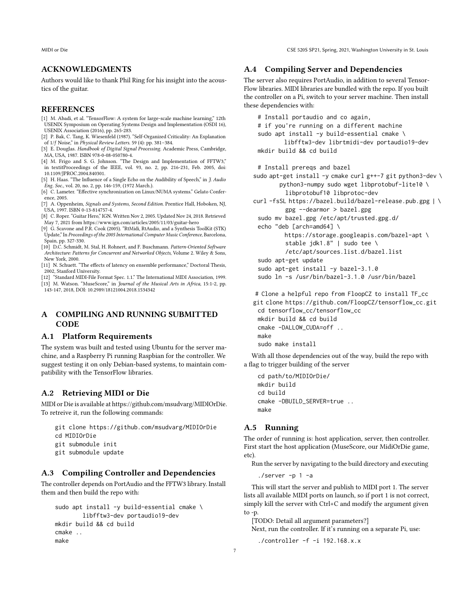MIDI or Die CSE 520S SP21, Spring, 2021, Washington University in St. Louis

# ACKNOWLEDGMENTS

Authors would like to thank Phil Ring for his insight into the acoustics of the guitar.

#### REFERENCES

- <span id="page-6-7"></span>[1] M. Abadi, et al. "TensorFlow: A system for large-scale machine learning," 12th USENIX Symposium on Operating Systems Design and Implementation (OSDI 16), USENIX Association (2016), pp. 265-283.
- <span id="page-6-10"></span>[2] P. Bak, C. Tang, K. Wiesenfeld (1987). "Self-Organized Criticality: An Explanation of 1/ƒ Noise," in Physical Review Letters. 59 (4): pp. 381–384.
- <span id="page-6-6"></span>[3] E. Douglas. Handbook of Digital Signal Processing. Academic Press, Cambridge, MA, USA, 1987. ISBN 978-0-08-050780-4.
- <span id="page-6-5"></span>[4] M. Frigo and S. G. Johnson. "The Design and Implementation of FFTW3," in textitProceedings of the IEEE, vol. 93, no. 2, pp. 216-231, Feb. 2005, doi: 10.1109/JPROC.2004.840301.
- <span id="page-6-2"></span>[5] H. Haas. "The Influence of a Single Echo on the Audibility of Speech," in J. Audio Eng. Soc., vol. 20, no. 2, pp. 146-159, (1972 March.).
- <span id="page-6-9"></span>[6] C. Lameter. "Effective synchronization on Linux/NUMA systems." Gelato Conference, 2005.
- <span id="page-6-4"></span>[7] A. Oppenheim, Signals and Systems, Second Edition. Prentice Hall, Hoboken, NJ, USA, 1997. ISBN 0-13-814757-4.
- <span id="page-6-0"></span>[8] C. Roper. "Guitar Hero," IGN. Written Nov 2, 2005. Updated Nov 24, 2018. Retrieved May 7, 2021 from https://www.ign.com/articles/2005/11/03/guitar-hero
- [9] G. Scavone and P.R. Cook (2005). "RtMidi, RtAudio, and a Synthesis ToolKit (STK) Update," In Proceedings of the 2005 International Computer Music Conference, Barcelona,
- <span id="page-6-8"></span>Spain, pp. 327-330. [10] D.C. Schmidt, M. Stal, H. Rohnert, and F. Buschmann. Pattern-Oriented Software Architecture: Patterns for Concurrent and Networked Objects, Volume 2. Wiley & Sons, New York, 2000.
- <span id="page-6-3"></span>[11] N. Schuett. "The effects of latency on ensemble performance," Doctoral Thesis, 2002, Stanford University.
- [12] "Standard MIDI-File Format Spec. 1.1." The International MIDI Association, 1999.
- <span id="page-6-1"></span>[13] M. Watson. "MuseScore," in Journal of the Musical Arts in Africa, 15:1-2, pp. 143-147, 2018, DOI: 10.2989/18121004.2018.1534342

# A COMPILING AND RUNNING SUBMITTED **CODE**

#### A.1 Platform Requirements

The system was built and tested using Ubuntu for the server machine, and a Raspberry Pi running Raspbian for the controller. We suggest testing it on only Debian-based systems, to maintain compatibility with the TensorFlow libraries.

## A.2 Retrieving MIDI or Die

MIDI or Die is available at [https://github.com/msudvarg/MIDIOrDie.](https://github.com/msudvarg/MIDIOrDie) To retreive it, run the following commands:

- git clone https://github.com/msudvarg/MIDIOrDie cd MIDIOrDie git submodule init
- git submodule update

# A.3 Compiling Controller and Dependencies

The controller depends on PortAudio and the FFTW3 library. Install them and then build the repo with:

```
sudo apt install -y build-essential cmake \
        libfftw3-dev portaudio19-dev
mkdir build && cd build
cmake ..
make
```
#### A.4 Compiling Server and Dependencies

The server also requires PortAudio, in addition to several Tensor-Flow libraries. MIDI libraries are bundled with the repo. If you built the controller on a Pi, switch to your server machine. Then install these dependencies with:

# Install portaudio and co again, # if you're running on a different machine sudo apt install -y build-essential cmake \ libfftw3-dev librtmidi-dev portaudio19-dev mkdir build && cd build # Install prereqs and bazel sudo apt-get install -y cmake curl g++-7 git python3-dev \ python3-numpy sudo wget libprotobuf-lite10 \ libprotobuf10 libprotoc-dev curl -fsSL https://bazel.build/bazel-release.pub.gpg | \ gpg --dearmor > bazel.gpg sudo mv bazel.gpg /etc/apt/trusted.gpg.d/ echo "deb [arch=amd64] \ https://storage.googleapis.com/bazel-apt \ stable jdk1.8" | sudo tee \ /etc/apt/sources.list.d/bazel.list sudo apt-get update sudo apt-get install -y bazel-3.1.0 sudo ln -s /usr/bin/bazel-3.1.0 /usr/bin/bazel

# Clone a helpful repo from FloopCZ to install TF\_cc

git clone https://github.com/FloopCZ/tensorflow\_cc.git cd tensorflow\_cc/tensorflow\_cc mkdir build && cd build cmake -DALLOW\_CUDA=off .. make sudo make install

With all those dependencies out of the way, build the repo with a flag to trigger building of the server

cd path/to/MIDIOrDie/ mkdir build cd build cmake -DBUILD\_SERVER=true .. make

## A.5 Running

The order of running is: host application, server, then controller. First start the host application (MuseScore, our MidiOrDie game, etc).

Run the server by navigating to the build directory and executing

 $./server -p 1 -a$ 

This will start the server and publish to MIDI port 1. The server lists all available MIDI ports on launch, so if port 1 is not correct, simply kill the server with Ctrl+C and modify the argument given to -p.

[TODO: Detail all argument parameters?]

Next, run the controller. If it's running on a separate Pi, use:

./controller -f -i 192.168.x.x